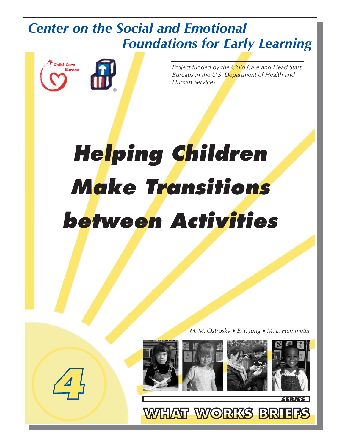## *Center on the Social and Emotional Foundations for Early Learning*



*4*

*Project funded by the Child Care and Head Start Bureaus in the U.S. Department of Health and Human Services*

# *Helping Children Make Transitions between Activities*

*M. M. Ostrosky • E. Y. Jung • M. L. Hemmeter*

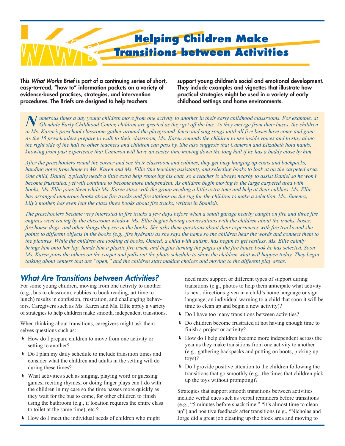

**This What Works Brief is part of a continuing series of short, easy-to-read, "how to" information packets on a variety of evidence-based practices, strategies, and intervention procedures. The Briefs are designed to help teachers**

**support young children's social and emotional development. They include examples and vignettes that illustrate how practical strategies might be used in a variety of early childhood settings and home environments.**

*N umerous times a day young children move from one activity to another in their early childhood classrooms. For example, at Glendale Early Childhood Center, children are greeted as they get off the bus. As they emerge from their buses, the children in Ms. Karen's preschool classroom gather around the playground fence and sing songs until all five buses have come and gone. As the 15 preschoolers prepare to walk to their classroom, Ms. Karen reminds the children to use inside voices and to stay along the right side of the hall so other teachers and children can pass by. She also suggests that Cameron and Elizabeth hold hands, knowing from past experience that Cameron will have an easier time moving down the long hall if he has a buddy close by him.*

*After the preschoolers round the corner and see their classroom and cubbies, they get busy hanging up coats and backpacks, handing notes from home to Ms. Karen and Ms. Ellie (the teaching assistant), and selecting books to look at on the carpeted area. One child, Daniel, typically needs a little extra help removing his coat, so a teacher is always nearby to assist Daniel so he won't become frustrated, yet will continue to become more independent. As children begin moving to the large carpeted area with books, Ms. Ellie joins them while Ms. Karen stays with the group needing a little extra time and help at their cubbies. Ms. Ellie has arranged numerous books about fire trucks and fire stations on the rug for the children to make a selection. Ms. Jimenez, Lily's mother, has even lent the class three books about fire trucks, written in Spanish.*

*The preschoolers became very interested in fire trucks a few days before when a small garage nearby caught on fire and three fire engines went racing by the classroom window. Ms. Ellie begins having conversations with the children about the trucks, hoses, fire house dogs, and other things they see in the books. She asks them questions about their experiences with fire trucks and she points to different objects in the books (e.g., fire hydrant) as she says the name so the children hear the words and connect them to the pictures. While the children are looking at books, Omeed, a child with autism, has begun to get restless. Ms. Ellie calmly brings him onto her lap, hands him a plastic fire truck, and begins turning the pages of the fire house book he has selected. Soon Ms. Karen joins the others on the carpet and pulls out the photo schedule to show the children what will happen today. They begin talking about centers that are "open," and the children start making choices and moving to the different play areas.*

### **What Are Transitions between Activities?**

For some young children, moving from one activity to another (e.g., bus to classroom, cubbies to book reading, art time to lunch) results in confusion, frustration, and challenging behaviors. Caregivers such as Ms. Karen and Ms. Ellie apply a variety of strategies to help children make smooth, independent transitions.

When thinking about transitions, caregivers might ask themselves questions such as:

- Í How do I prepare children to move from one activity or setting to another?
- Í Do I plan my daily schedule to include transition times and consider what the children and adults in the setting will do during these times?
- Í What activities such as singing, playing word or guessing games, reciting rhymes, or doing finger plays can I do with the children in my care so the time passes more quickly as they wait for the bus to come, for other children to finish using the bathroom (e.g., if location requires the entire class to toilet at the same time), etc.?
- Í How do I meet the individual needs of children who might

need more support or different types of support during transitions (e.g., photos to help them anticipate what activity is next, directions given in a child's home language or sign language, an individual warning to a child that soon it will be time to clean up and begin a new activity)?

- **F** Do I have too many transitions between activities?
- Í Do children become frustrated at not having enough time to finish a project or activity?
- Í How do I help children become more independent across the year as they make transitions from one activity to another (e.g., gathering backpacks and putting on boots, picking up toys)?
- Í Do I provide positive attention to the children following the transitions that go smoothly (e.g., the times that children pick up the toys without prompting)?

Strategies that support smooth transitions between activities include verbal cues such as verbal reminders before transitions (e.g., "5 minutes before snack time," "it's almost time to clean up") and positive feedback after transitions (e.g., "Nicholas and Jorge did a great job cleaning up the block area and moving to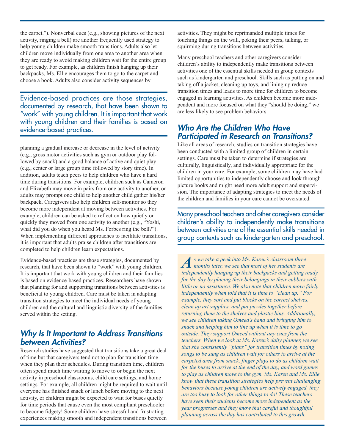the carpet."). Nonverbal cues (e.g., showing pictures of the next activity, ringing a bell) are another frequently used strategy to help young children make smooth transitions. Adults also let children move individually from one area to another area when they are ready to avoid making children wait for the entire group to get ready. For example, as children finish hanging up their backpacks, Ms. Ellie encourages them to go to the carpet and choose a book. Adults also consider activity sequences by

Evidence-based practices are those strategies, documented by research, that have been shown to "work" with young children. It is important that work with young children and their families is based on evidence-based practices.

planning a gradual increase or decrease in the level of activity (e.g., gross motor activities such as gym or outdoor play followed by snack) and a good balance of active and quiet play (e.g., center or large group time followed by story time). In addition, adults teach peers to help children who have a hard time during transitions. For example, children such as Cameron and Elizabeth may move in pairs from one activity to another, or adults may prompt one child to help another child gather his/her backpack. Caregivers also help children self-monitor so they become more independent at moving between activities. For example, children can be asked to reflect on how quietly or quickly they moved from one activity to another (e.g., "Yoshi, what did you do when you heard Ms. Forbes ring the bell?"). When implementing different approaches to facilitate transitions, it is important that adults praise children after transitions are completed to help children learn expectations.

Evidence-based practices are those strategies, documented by research, that have been shown to "work" with young children. It is important that work with young children and their families is based on evidence-based practices. Researchers have shown that planning for and supporting transitions between activities is beneficial to young children. Care must be taken in adapting transition strategies to meet the individual needs of young children and the cultural and linguistic diversity of the families served within the setting.

#### **Why Is It Important to Address Transitions between Activities?**

Research studies have suggested that transitions take a great deal of time but that caregivers tend not to plan for transition time when they plan their schedules. During transition time, children often spend much time waiting to move to or begin the next activity in preschool classrooms, child care settings, and home settings. For example, all children might be required to wait until everyone has finished snack or lunch before moving to the next activity, or children might be expected to wait for buses quietly for time periods that cause even the most compliant preschooler to become fidgety! Some children have stressful and frustrating experiences making smooth and independent transitions between activities. They might be reprimanded multiple times for touching things on the wall, poking their peers, talking, or squirming during transitions between activities.

Many preschool teachers and other caregivers consider children's ability to independently make transitions between activities one of the essential skills needed in group contexts such as kindergarten and preschool. Skills such as putting on and taking off a jacket, cleaning up toys, and lining up reduce transition times and leads to more time for children to become engaged in learning activities. As children become more independent and more focused on what they "should be doing," we are less likely to see problem behaviors.

#### **Who Are the Children Who Have Participated in Research on Transitions?**

Like all areas of research, studies on transition strategies have been conducted with a limited group of children in certain settings. Care must be taken to determine if strategies are culturally, linguistically, and individually appropriate for the children in your care. For example, some children may have had limited opportunities to independently choose and look through picture books and might need more adult support and supervision. The importance of adapting strategies to meet the needs of the children and families in your care cannot be overstated.

Many preschool teachers and other caregivers consider children's ability to independently make transitions between activities one of the essential skills needed in group contexts such as kindergarten and preschool.

*As we take a peek into Ms. Karen's classroom three months later, we see that most of her students are independently hanging up their backpacks and getting ready for the day by placing their belongings in their cubbies with little or no assistance. We also note that children move fairly independently when told that it is time to "clean up." For example, they sort and put blocks on the correct shelves, clean up art supplies, and put puzzles together before returning them to the shelves and plastic bins. Additionally, we see children taking Omeed's hand and bringing him to snack and helping him to line up when it is time to go outside. They support Omeed without any cues from the teachers. When we look at Ms. Karen's daily planner, we see that she consistently "plans" for transition times by noting songs to be sung as children wait for others to arrive at the carpeted area from snack, finger plays to do as children wait for the buses to arrive at the end of the day, and word games to play as children move to the gym. Ms. Karen and Ms. Ellie know that these transition strategies help prevent challenging behaviors because young children are actively engaged, they are too busy to look for other things to do! These teachers have seen their students become more independent as the year progresses and they know that careful and thoughtful planning across the day has contributed to this growth.*